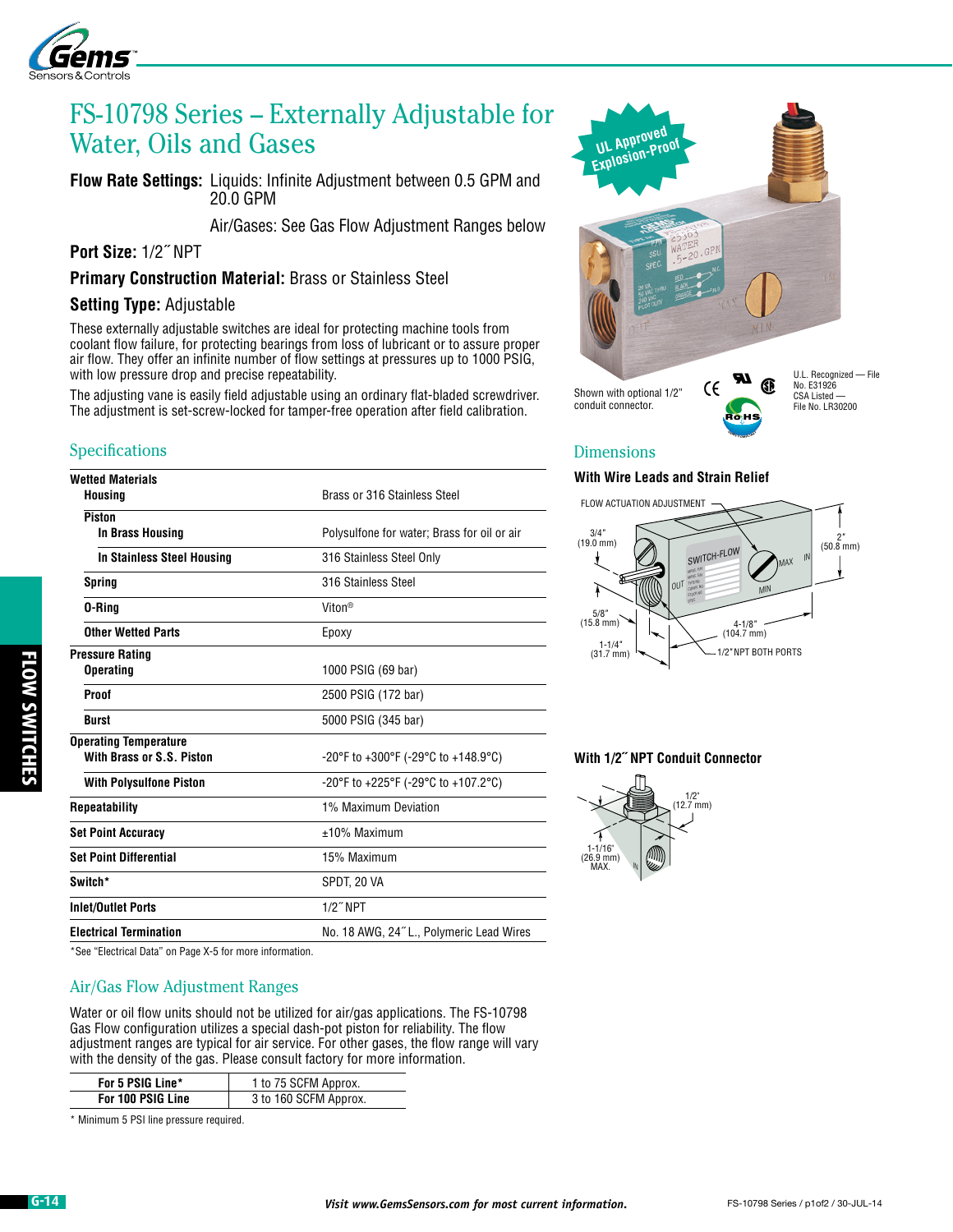

# FS-10798 Series – Externally Adjustable for Water, Oils and Gases

**Flow Rate Settings:** Liquids: Infinite Adjustment between 0.5 GPM and 20.0 GPM

Air/Gases: See Gas Flow Adjustment Ranges below

**Port Size:** 1/2˝ NPT

**Primary Construction Material:** Brass or Stainless Steel

#### **Setting Type:** Adjustable

These externally adjustable switches are ideal for protecting machine tools from coolant flow failure, for protecting bearings from loss of lubricant or to assure proper air flow. They offer an infinite number of flow settings at pressures up to 1000 PSIG, with low pressure drop and precise repeatability.

The adjusting vane is easily field adjustable using an ordinary flat-bladed screwdriver. The adjustment is set-screw-locked for tamper-free operation after field calibration.

## **Specifications**

# **Wetted Materials Housing** Brass or 316 Stainless Steel  **Piston In Brass Housing The Polysulfone for water; Brass for oil or air In Stainless Steel Housing** 316 Stainless Steel Only **Spring 316 Stainless Steel D-Ring Constanting Constanting Constanting Constanting Constanting Constanting Constanting Constanting Constanting Constanting Constanting Constanting Constanting Constanting Constanting Constanting Constanting Constant Other Wetted Parts Epoxy Pressure Rating Operating** 1000 PSIG (69 bar) **Proof** 2500 PSIG (172 bar) **Burst** 5000 PSIG (345 bar) **Operating Temperature With Brass or S.S. Piston** -20°F to +300°F (-29°C to +148.9°C) **With Polysulfone Piston COLLACTED 10 FOR 20°F to +225°F (-29°C to +107.2°C) Repeatability** 1% Maximum Deviation **Set Point Accuracy 10% Maximum Set Point Differential** 15% Maximum **Switch\*** SPDT, 20 VA **Inlet/Outlet Ports** 1/2˝ NPT **Electrical Termination** No. 18 AWG, 24˝ L., Polymeric Lead Wires

\*See "Electrical Data" on Page X-5 for more information.

### Air/Gas Flow Adjustment Ranges

Water or oil flow units should not be utilized for air/gas applications. The FS-10798 Gas Flow configuration utilizes a special dash-pot piston for reliability. The flow adjustment ranges are typical for air service. For other gases, the flow range will vary with the density of the gas. Please consult factory for more information.

| For 5 PSIG Line*  | 1 to 75 SCFM Approx.  |
|-------------------|-----------------------|
| For 100 PSIG Line | 3 to 160 SCFM Approx. |

\* Minimum 5 PSI line pressure required.



conduit connector.

U.L. Recognized — File File No. LR30200

### Dimensions

#### **With Wire Leads and Strain Relief**



**<sup>G</sup>EM<sup>S</sup> <sup>C</sup>OMPLIANT**® Ro HS

**With 1/2˝ NPT Conduit Connector**